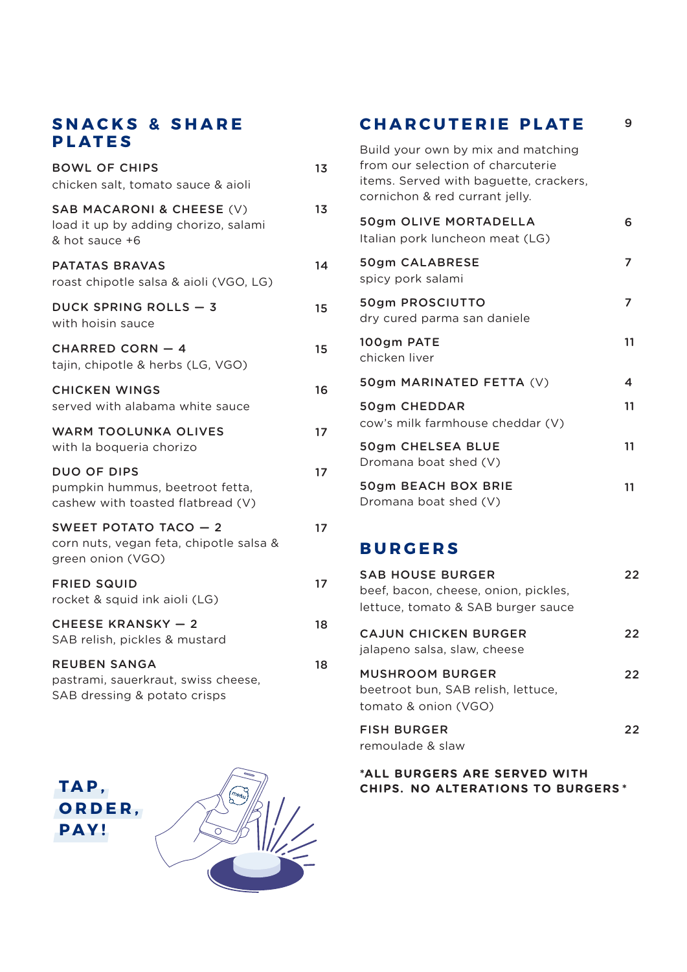### **SNACKS & SHARE PLATES**

| 13<br>13<br>14<br>15<br>15<br>16<br>17<br>17<br>17<br>17<br>18<br>18 |                                                                                            |  |
|----------------------------------------------------------------------|--------------------------------------------------------------------------------------------|--|
|                                                                      | <b>BOWL OF CHIPS</b><br>chicken salt, tomato sauce & aioli                                 |  |
|                                                                      | SAB MACARONI & CHEESE (V)<br>load it up by adding chorizo, salami<br>& hot sauce +6        |  |
|                                                                      | <b>PATATAS BRAVAS</b><br>roast chipotle salsa & aioli (VGO, LG)                            |  |
|                                                                      | <b>DUCK SPRING ROLLS - 3</b><br>with hoisin sauce                                          |  |
|                                                                      | <b>CHARRED CORN - 4</b><br>tajin, chipotle & herbs (LG, VGO)                               |  |
|                                                                      | <b>CHICKEN WINGS</b><br>served with alabama white sauce                                    |  |
|                                                                      | <b>WARM TOOLUNKA OLIVES</b><br>with la boqueria chorizo                                    |  |
|                                                                      | <b>DUO OF DIPS</b><br>pumpkin hummus, beetroot fetta,<br>cashew with toasted flatbread (V) |  |
|                                                                      | SWEET POTATO TACO - 2<br>corn nuts, vegan feta, chipotle salsa &<br>green onion (VGO)      |  |
|                                                                      | <b>FRIED SQUID</b><br>rocket & squid ink aioli (LG)                                        |  |
|                                                                      | <b>CHEESE KRANSKY - 2</b><br>SAB relish, pickles & mustard                                 |  |
|                                                                      | <b>REUBEN SANGA</b><br>pastrami, sauerkraut, swiss cheese,<br>SAB dressing & potato crisps |  |

**CHARCUTERIE PLATE** Build your own by mix and matching from our selection of charcuterie items. Served with baguette, crackers, cornichon & red currant jelly. 50gm OLIVE MORTADELLA Italian pork luncheon meat (LG) 50gm CALABRESE spicy pork salami 50gm PROSCIUTTO dry cured parma san daniele 100gm PATE chicken liver 50gm MARINATED FETTA (V) 50gm CHEDDAR cow's milk farmhouse cheddar (V) 50gm CHELSEA BLUE Dromana boat shed (V) 50gm BEACH BOX BRIE Dromana boat shed (V) 9 6 7 11 4 11 11 7 11

### **BURGERS**

| <b>SAB HOUSE BURGER</b><br>beef, bacon, cheese, onion, pickles,<br>lettuce, tomato & SAB burger sauce | 22 |
|-------------------------------------------------------------------------------------------------------|----|
| CAJUN CHICKEN BURGER<br>jalapeno salsa, slaw, cheese                                                  | 22 |
| <b>MUSHROOM BURGER</b><br>beetroot bun. SAB relish. lettuce.<br>tomato & onion (VGO)                  | フフ |
| <b>FISH BURGER</b><br>remoulade & slaw                                                                | フフ |

#### **\*ALL BURGERS ARE SERVED WITH CHIPS.  NO ALTERATIONS TO BURGERS \***

**TAP, ORDER, PAY!**

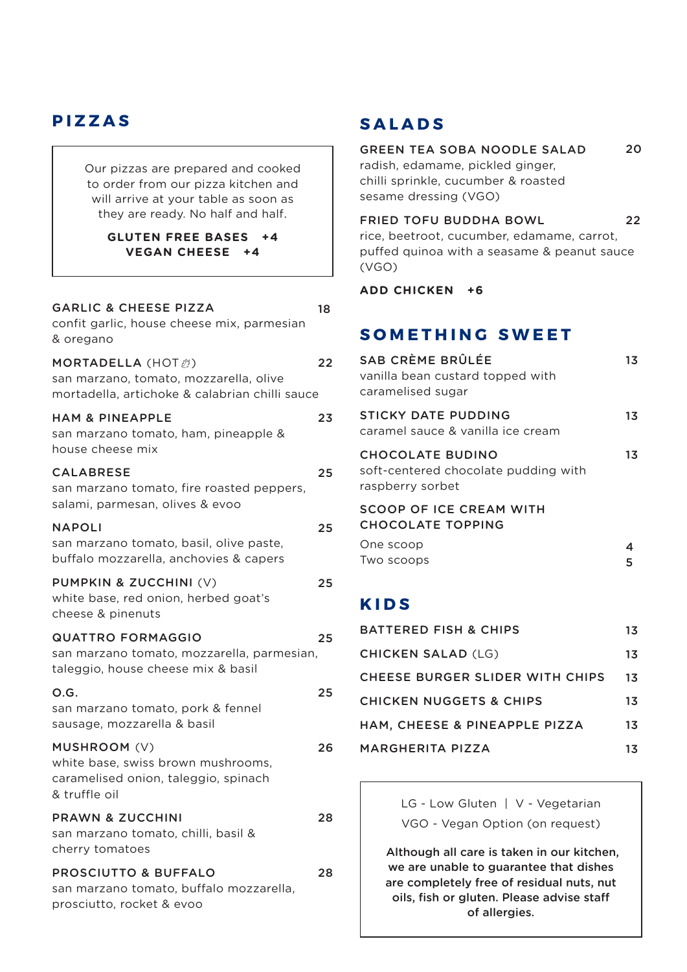## **PIZZAS**

Our pizzas are prepared and cooked to order from our pizza kitchen and will arrive at your table as soon as they are ready. No half and half.

#### **GLUTEN FREE BASES +4 VEGAN CHEESE +4**

| <b>GARLIC &amp; CHEESE PIZZA</b><br>confit garlic, house cheese mix, parmesian<br>& oregano                                        | 18 |
|------------------------------------------------------------------------------------------------------------------------------------|----|
| MORTADELLA (HOT $\ddot{\mathcal{O}}$ )<br>san marzano, tomato, mozzarella, olive<br>mortadella, artichoke & calabrian chilli sauce | 22 |
| <b>HAM &amp; PINEAPPLE</b><br>san marzano tomato, ham, pineapple &<br>house cheese mix                                             | 23 |
| CALABRESE<br>san marzano tomato, fire roasted peppers,<br>salami, parmesan, olives & evoo                                          | 25 |
| <b>NAPOLI</b><br>san marzano tomato, basil, olive paste,<br>buffalo mozzarella, anchovies & capers                                 | 25 |
| PUMPKIN & ZUCCHINI (V)<br>white base, red onion, herbed goat's<br>cheese & pinenuts                                                | 25 |
| <b>QUATTRO FORMAGGIO</b><br>san marzano tomato, mozzarella, parmesian,<br>taleggio, house cheese mix & basil                       | 25 |
| O.G.<br>san marzano tomato, pork & fennel<br>sausage, mozzarella & basil                                                           | 25 |
| MUSHROOM (V)<br>white base, swiss brown mushrooms,<br>caramelised onion, taleggio, spinach<br>& truffle oil                        | 26 |
| <b>PRAWN &amp; ZUCCHINI</b><br>san marzano tomato, chilli, basil &<br>cherry tomatoes                                              | 28 |
| <b>PROSCIUTTO &amp; BUFFALO</b><br>san marzano tomato, buffalo mozzarella,<br>prosciutto, rocket & evoo                            | 28 |

# **SALADS**

GREEN TEA SOBA NOODLE SALAD radish, edamame, pickled ginger, chilli sprinkle, cucumber & roasted sesame dressing (VGO) FRIED TOFU BUDDHA BOWL rice, beetroot, cucumber, edamame, carrot, puffed quinoa with a seasame & peanut sauce 20 22

**ADD CHICKEN +6**

(VGO)

### **SOMETHING SWEET**

| SAB CRÈME BRÛLÉE<br>vanilla bean custard topped with<br>caramelised sugar           | 13. |
|-------------------------------------------------------------------------------------|-----|
| STICKY DATE PUDDING<br>caramel sauce & vanilla ice cream                            | 13  |
| <b>CHOCOLATE BUDINO</b><br>soft-centered chocolate pudding with<br>raspberry sorbet | 13  |
| SCOOP OF ICE CREAM WITH<br><b>CHOCOLATE TOPPING</b>                                 |     |
| One scoop<br>Two scoops                                                             |     |

### **KIDS**

| <b>BATTERED FISH &amp; CHIPS</b>   | 13. |
|------------------------------------|-----|
| <b>CHICKEN SALAD (LG)</b>          | 13  |
| CHEESE BURGER SLIDER WITH CHIPS    | 13. |
| <b>CHICKEN NUGGETS &amp; CHIPS</b> | 13  |
| HAM, CHEESE & PINEAPPLE PIZZA      | 13  |
| MARGHERITA PIZZA                   | 13. |

LG - Low Gluten | V - Vegetarian VGO - Vegan Option (on request)

 Although all care is taken in our kitchen, we are unable to guarantee that dishes are completely free of residual nuts, nut oils, fish or gluten. Please advise staff of allergies.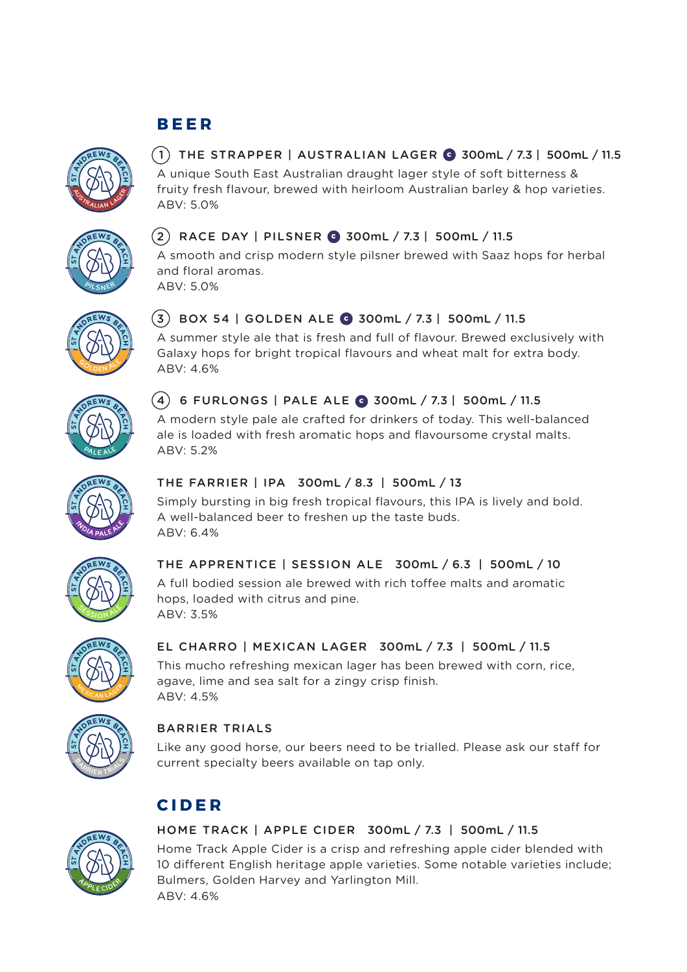# **B E E R**



## $(1)$  THE STRAPPER | AUSTRALIAN LAGER  $\odot$  300mL / 7.3 | 500mL / 11.5

A unique South East Australian draught lager style of soft bitterness & fruity fresh flavour, brewed with heirloom Australian barley & hop varieties. ABV: 5.0%



### $(2)$  RACE DAY | PILSNER  $\bigodot$  300mL / 7.3 | 500mL / 11.5

A smooth and crisp modern style pilsner brewed with Saaz hops for herbal and floral aromas.

ABV: 5.0%



### $(3)$  BOX 54 | GOLDEN ALE  $\odot$  300mL / 7.3 | 500mL / 11.5

A summer style ale that is fresh and full of flavour. Brewed exclusively with Galaxy hops for bright tropical flavours and wheat malt for extra body. ABV: 4.6%



#### $(4)$  6 FURLONGS | PALE ALE  $\odot$  300mL / 7.3 | 500mL / 11.5

A modern style pale ale crafted for drinkers of today. This well-balanced ale is loaded with fresh aromatic hops and flavoursome crystal malts. ABV: 5.2%



#### THE FARRIER | IPA 300mL / 8.3 | 500mL / 13

Simply bursting in big fresh tropical flavours, this IPA is lively and bold. A well-balanced beer to freshen up the taste buds. ABV: 6.4%



#### THE APPRENTICE | SESSION ALE 300mL / 6.3 | 500mL / 10

A full bodied session ale brewed with rich toffee malts and aromatic hops, loaded with citrus and pine. ABV: 3.5%



#### EL CHARRO | MEXICAN LAGER 300mL / 7.3 | 500mL / 11.5

This mucho refreshing mexican lager has been brewed with corn, rice, agave, lime and sea salt for a zingy crisp finish. ABV: 4.5%



#### BARRIER TRIALS

Like any good horse, our beers need to be trialled. Please ask our staff for current specialty beers available on tap only.

# **CIDER**



#### HOME TRACK | APPLE CIDER 300mL / 7.3 | 500mL / 11.5

Home Track Apple Cider is a crisp and refreshing apple cider blended with 10 different English heritage apple varieties. Some notable varieties include; Bulmers, Golden Harvey and Yarlington Mill. ABV: 4.6%